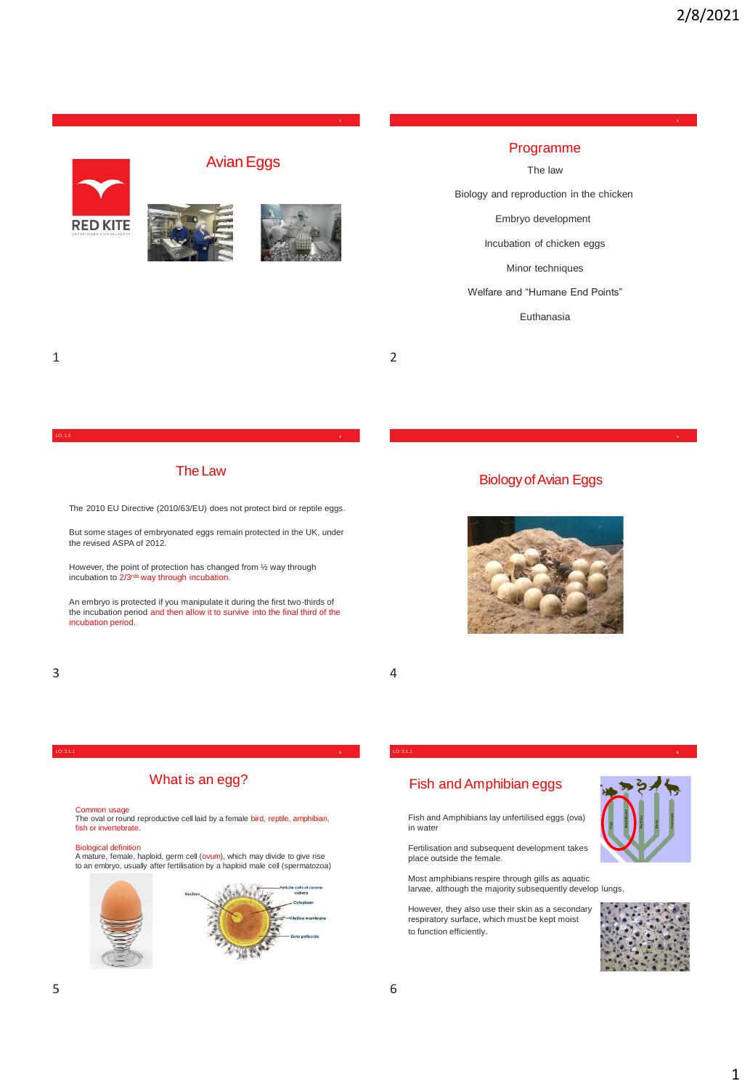

# Programme

**1 2**

# The law

Biology and reproduction in the chicken

Embryo development

Incubation of chicken eggs

Minor techniques

### Welfare and "Humane End Points"

Euthanasia

# 1 2

#### LO: 1.1 **<sup>4</sup>**

# The Law

The 2010 EU Directive (2010/63/EU) does not protect bird or reptile eggs.

But some stages of embryonated eggs remain protected in the UK, under the revised ASPA of 2012.

However, the point of protection has changed from ½ way through incubation to 2/3rds way through incubation.

An embryo is protected if you manipulate it during the first two-thirds of the incubation period and then allow it to survive into the final third of the incubation period.



Biology of Avian Eggs



# What is an egg?

Common usage The oval or round reproductive cell laid by a female bird, reptile, amphibian, fish or invertebrate.

<mark>Biological definition</mark><br>A mature, female, haploid, germ cell (ovum), which may divide to give rise<br>to an embryo, usually after fertilisation by a haploid male cell (spermatozoa)



#### LO: 3.1.1 **<sup>6</sup>** LO: 3.1.1

# Fish and Amphibian eggs

Fish and Amphibians lay unfertilised eggs (ova) in water

Fertilisation and subsequent development takes place outside the female.

Most amphibians respire through gills as aquatic larvae, although the majority subsequently develop lungs.

However, they also use their skin as a secondary respiratory surface, which must be kept moist to function efficiently.





 $3 \overline{4}$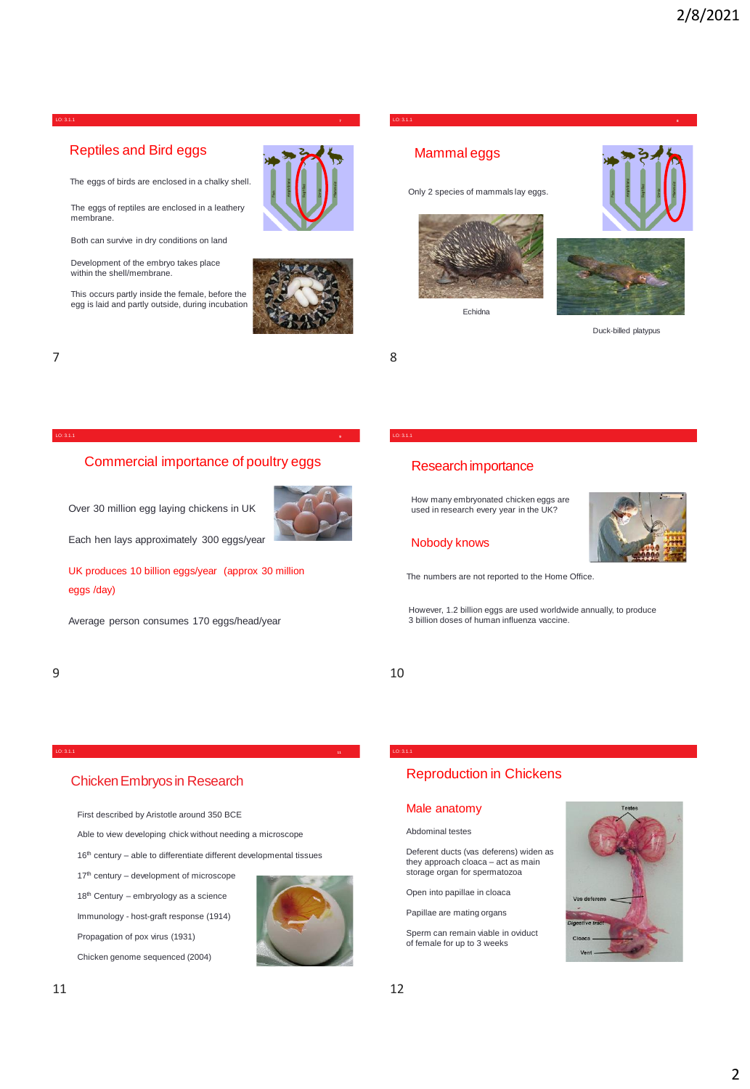

# Reptiles and Bird eggs

The eggs of birds are enclosed in a chalky shell.

The eggs of reptiles are enclosed in a leathery membrane.

Both can survive in dry conditions on land

Development of the embryo takes place within the shell/membrane.

This occurs partly inside the female, before the egg is laid and partly outside, during incubation



**7**



 $7$  8

# Commercial importance of poultry eggs

Over 30 million egg laying chickens in UK



Each hen lays approximately 300 eggs/year

UK produces 10 billion eggs/year (approx 30 million eggs /day)

Average person consumes 170 eggs/head/year

# LO: 3.1.1

# Research importance

Mammal eggs

LO: 3.1.1

Only 2 species of mammals lay eggs.

Echidna

How many embryonated chicken eggs are used in research every year in the UK?

# Nobody knows

The numbers are not reported to the Home Office.

However, 1.2 billion eggs are used worldwide annually, to produce 3 billion doses of human influenza vaccine.

 $9 \hspace{2.5cm} 10$ 

# Chicken Embryos in Research

First described by Aristotle around 350 BCE

Able to view developing chick without needing a microscope

 $16<sup>th</sup>$  century – able to differentiate different developmental tissues

17th century – development of microscope 18<sup>th</sup> Century – embryology as a science

Immunology - host-graft response (1914)

Propagation of pox virus (1931)

Chicken genome sequenced (2004)



# LO: 3.1.1

# Reproduction in Chickens

# Male anatomy

Abdominal testes

Deferent ducts (vas deferens) widen as they approach cloaca – act as main storage organ for spermatozoa

Open into papillae in cloaca

Papillae are mating organs

Sperm can remain viable in oviduct of female for up to 3 weeks



Duck-billed platypus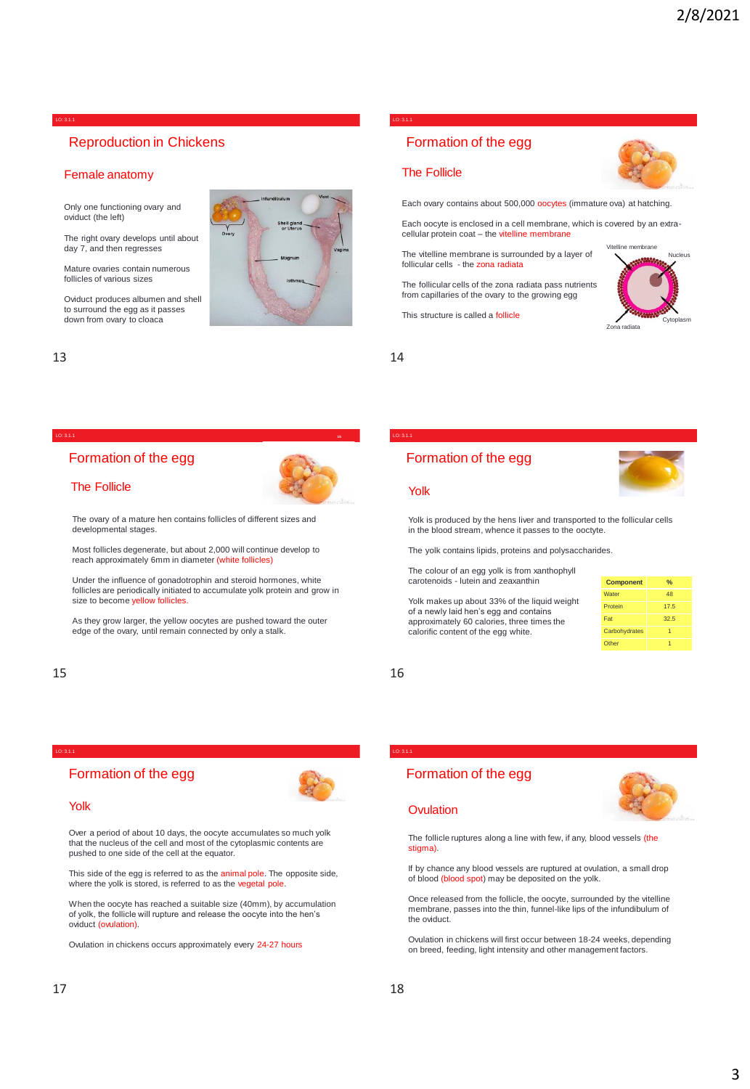# Reproduction in Chickens

# Female anatomy

LO: 3.1.1

Only one functioning ovary and oviduct (the left)

The right ovary develops until about day 7, and then regresses

Mature ovaries contain numerous follicles of various sizes

Oviduct produces albumen and shell to surround the egg as it passes down from ovary to cloaca



## LO: 3.1.1

# Formation of the egg

# The Follicle

Each ovary contains about 500,000 oocytes (immature ova) at hatching.

Each oocyte is enclosed in a cell membrane, which is covered by an extracellular protein coat - the vitelline membrane

The vitelline membrane is surrounded by a layer of follicular cells - the zona radiata

The follicular cells of the zona radiata pass nutrients from capillaries of the ovary to the growing egg

This structure is called a follicle



 $13$  14

**15**

#### LO: 3.1.1

# Formation of the egg



The ovary of a mature hen contains follicles of different sizes and developmental stages.

Most follicles degenerate, but about 2,000 will continue develop to reach approximately 6mm in diameter (white follicles)

Under the influence of gonadotrophin and steroid hormones, white follicles are periodically initiated to accumulate yolk protein and grow in size to become vellow follicles

As they grow larger, the yellow oocytes are pushed toward the outer edge of the ovary, until remain connected by only a stalk.

Over a period of about 10 days, the oocyte accumulates so much yolk that the nucleus of the cell and most of the cytoplasmic contents are

This side of the egg is referred to as the animal pole. The opposite side,

When the oocyte has reached a suitable size (40mm), by accumulation of yolk, the follicle will rupture and release the oocyte into the hen's

where the yolk is stored, is referred to as the vegetal pole

Ovulation in chickens occurs approximately every 24-27 hours

pushed to one side of the cell at the equator.

Formation of the egg

# $15$  16

LO: 3.1.1

Yolk

oviduct (ovulation).

# LO: 3.1.1

# Formation of the egg

## Yolk

Yolk is produced by the hens liver and transported to the in the blood stream, whence it passes to the ooctyte.

The yolk contains lipids, proteins and polysaccharides.

The colour of an egg yolk is from xanthophyll carotenoids - lutein and zeaxanthin

Yolk makes up about 33% of the liquid weight of a newly laid hen's egg and contains approximately 60 calories, three times the calorific content of the egg white.

| e follicular cells |  |  |
|--------------------|--|--|
|                    |  |  |

| <b>Component</b> | %    |
|------------------|------|
| Water            | 48   |
| Protein          | 17.5 |
| Fat              | 32.5 |
| Carbohydrates    |      |
| Other            |      |

LO: 3.1.1



## **Ovulation**

Formation of the egg

The follicle ruptures along a line with few, if any, blood vessels (the stigma).

If by chance any blood vessels are ruptured at ovulation, a small drop of blood (blood spot) may be deposited on the yolk.

Once released from the follicle, the oocyte, surrounded by the vitelline membrane, passes into the thin, funnel-like lips of the infundibulum of the oviduct.

Ovulation in chickens will first occur between 18-24 weeks, depending on breed, feeding, light intensity and other management factors.

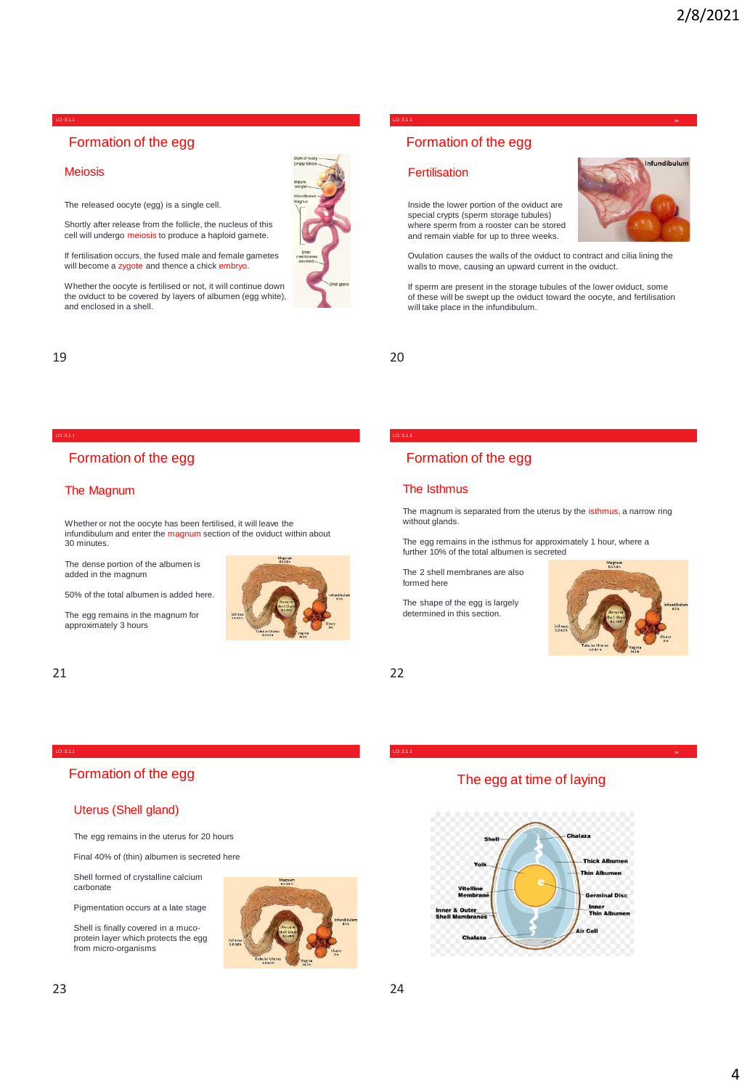# Formation of the egg

# Meiosis

The released oocyte (egg) is a single cell.

Shortly after release from the follicle, the nucleus of this cell will undergo meiosis to produce a haploid gamete.

If fertilisation occurs, the fused male and female gametes will become a zygote and thence a chick embryo.

Whether the oocyte is fertilised or not, it will continue down the oviduct to be covered by layers of albumen (egg white), and enclosed in a shell.

# $19$  20

### LO: 3.1.1

# Formation of the egg

# The Magnum

Whether or not the oocyte has been fertilised, it will leave the infundibulum and enter the magnum section of the oviduct within about 30 minutes.

The dense portion of the albumen is added in the magnum

50% of the total albumen is added here.

The egg remains in the magnum for approximately 3 hours



# 21 22

LO: 3.1.1

#### LO: 3.1.1 **<sup>20</sup>** LO: 3.1.1

# Formation of the egg

# **Fertilisation**

Inside the lower portion of the oviduct are special crypts (sperm storage tubules) where sperm from a rooster can be stored and remain viable for up to three weeks.

Ovulation causes the walls of the oviduct to contract and cilia lining the walls to move, causing an upward current in the oviduct.

If sperm are present in the storage tubules of the lower oviduct, some of these will be swept up the oviduct toward the oocyte, and fertilisation will take place in the infundibulum.

# LO: 3.1.1

# Formation of the egg

# The Isthmus

The magnum is separated from the uterus by the isthmus, a narrow ring without glands.

The egg remains in the isthmus for approximately 1 hour, where a further 10% of the total albumen is secreted

The 2 shell membranes are also formed here

The shape of the egg is largely determined in this section.



# Formation of the egg

# Uterus (Shell gland)

The egg remains in the uterus for 20 hours

Final 40% of (thin) albumen is secreted here

Shell formed of crystalline calcium carbonate

Pigmentation occurs at a late stage

Shell is finally covered in a mucoprotein layer which protects the egg from micro-organisms



LO: 3.1.1 **<sup>24</sup>**

# The egg at time of laying



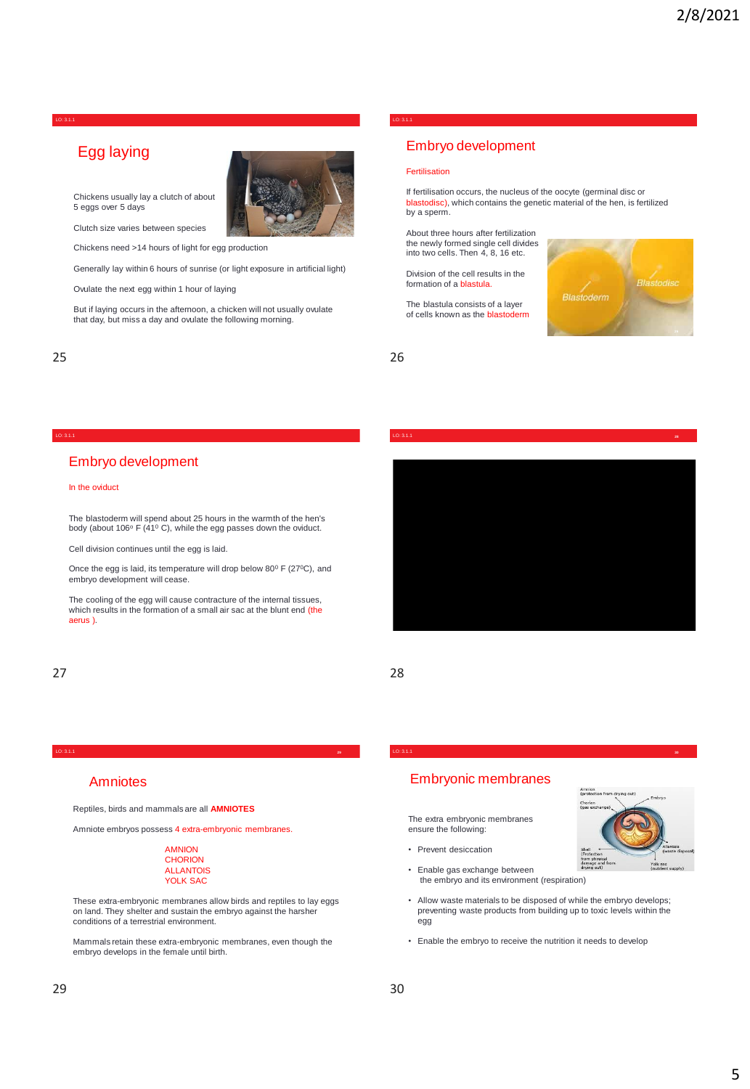# Egg laying



Chickens usually lay a clutch of about 5 eggs over 5 days

Clutch size varies between species

Chickens need >14 hours of light for egg production

Generally lay within 6 hours of sunrise (or light exposure in artificial light)

Ovulate the next egg within 1 hour of laying

But if laying occurs in the afternoon, a chicken will not usually ovulate that day, but miss a day and ovulate the following morning.

# 25 26

LO: 3.1.1

LO: 3.1.1

# Embryo development

#### Fertilisation

If fertilisation occurs, the nucleus of the oocyte (germinal disc or blastodisc), which contains the genetic material of the hen, is fertilized by a sperm.

About three hours after fertilization the newly formed single cell divides into two cells. Then 4, 8, 16 etc.

Division of the cell results in the formation of a blastula.

The blastula consists of a layer of cells known as the blastoderm



#### LO: 3.1.1 LO: 3.1.1 **<sup>28</sup>**

# Embryo development

### In the oviduct

The blastoderm will spend about 25 hours in the warmth of the hen's<br>body (about 106º F (41º C), while the egg passes down the oviduct.

Cell division continues until the egg is laid.

Once the egg is laid, its temperature will drop below  $80^0$  F (27 $^0$ C), and embryo development will cease.

The cooling of the egg will cause contracture of the internal tissues, which results in the formation of a small air sac at the blunt end (the aerus ).

# 27 28

# Amniotes

Reptiles, birds and mammals are all **AMNIOTES**

Amniote embryos possess 4 extra-embryonic membranes.

#### AMNION **CHORION** ALLANTOIS YOLK SAC

These extra-embryonic membranes allow birds and reptiles to lay eggs on land. They shelter and sustain the embryo against the harsher conditions of a terrestrial environment.

Mammals retain these extra-embryonic membranes, even though the embryo develops in the female until birth.

#### LO: 3.1.1 **<sup>30</sup>** LO: 3.1.1

# Embryonic membranes

The extra embryonic membranes ensure the following:

- Prevent desiccation
- Enable gas exchange between the embryo and its environment (respiration)
- Allow waste materials to be disposed of while the embryo develops; preventing waste products from building up to toxic levels within the egg
- Enable the embryo to receive the nutrition it needs to develop



 $29$  30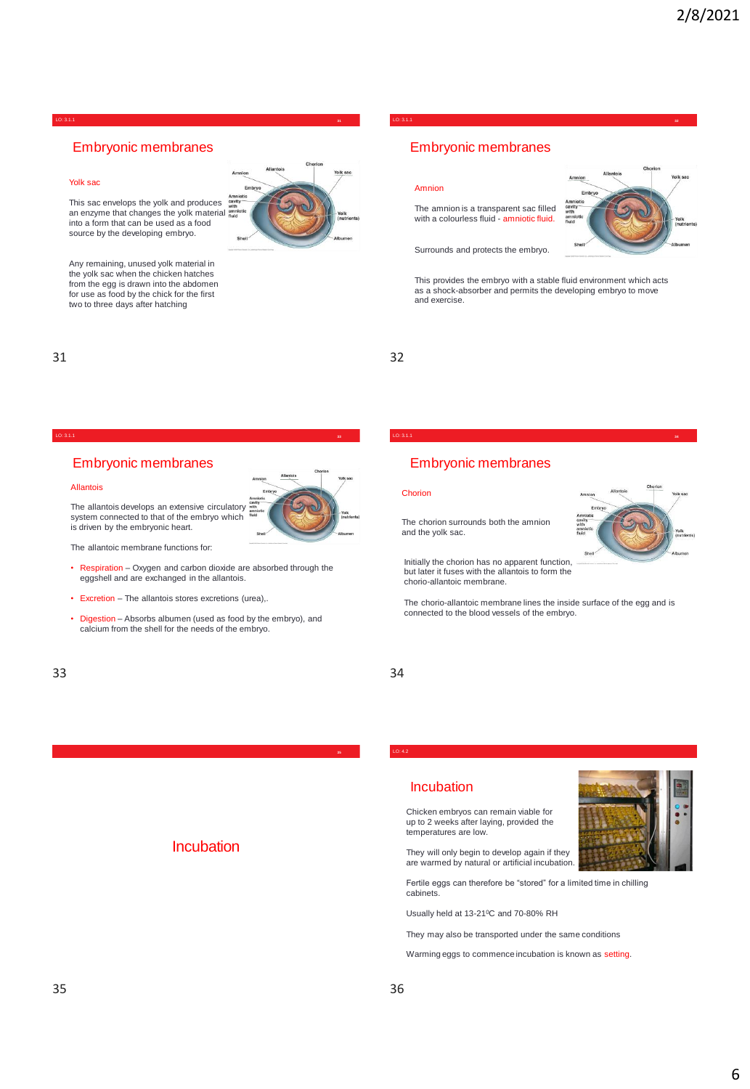# Embryonic membranes

## Yolk sac

This sac envelops the yolk and produces an enzyme that changes the yolk material into a form that can be used as a food

**Allantois**

Any remaining, unused yolk material in the yolk sac when the chicken hatches from the egg is drawn into the abdomen for use as food by the chick for the first two to three days after hatching

source by the developing embryo.



**31**

LO: 3.1.1 **<sup>32</sup>**

LO: 3.1.1

# 31 32

#### LO: 3.1.1 **<sup>34</sup>**

# Embryonic membranes

### Allantois

The allantois develops an extensive circulatory system connected to that of the embryo which is driven by the embryonic heart.

The allantoic membrane functions for:

- Respiration Oxygen and carbon dioxide are absorbed through the eggshell and are exchanged in the allantois.
- Excretion The allantois stores excretions (urea),.
- Digestion Absorbs albumen (used as food by the embryo), and calcium from the shell for the needs of the embryo.

**Incubation** 

# LO: 3.1.1

Amnion

and exercise.

# Embryonic membranes

The amnion is a transparent sac filled with a colourless fluid - amniotic fluid.

Embryonic membranes

Surrounds and protects the embryo.

### **Chorion**

The chorion surrounds both the amnion and the yolk sac.



Initially the chorion has no apparent function, but later it fuses with the allantois to form the chorio-allantoic membrane.

The chorio-allantoic membrane lines the inside surface of the egg and is connected to the blood vessels of the embryo.

This provides the embryo with a stable fluid environment which acts as a shock-absorber and permits the developing embryo to move

**Amniotic cavity** 



# Incubation

Chicken embryos can remain viable for up to 2 weeks after laying, provided the temperatures are low.

They will only begin to develop again if they are warmed by natural or artificial incubation.

Fertile eggs can therefore be "stored" for a limited time in chilling cabinets.

Usually held at 13-21<sup>0</sup>C and 70-80% RH

They may also be transported under the same conditions

Warming eggs to commence incubation is known as setting.

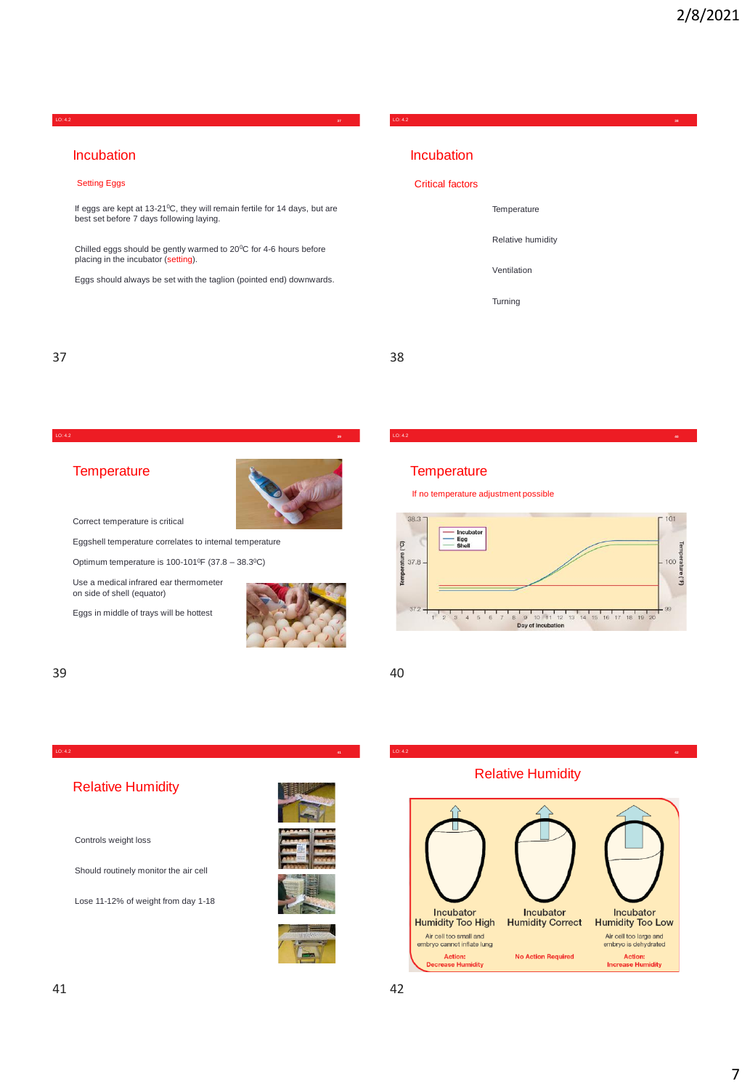Incubation

## Setting Eggs

If eggs are kept at 13-21<sup>0</sup>C, they will remain fertile for 14 days, but are best set before 7 days following laying.

LO: 4.2 **<sup>37</sup>**

Chilled eggs should be gently warmed to 20°C for 4-6 hours before placing in the incubator (setting).

Eggs should always be set with the taglion (pointed end) downwards.

# $37$   $38$

LO: 4.2

## LO: 4.2 **<sup>39</sup> <sup>40</sup>**

# **Temperature**



Correct temperature is critical

Eggshell temperature correlates to internal temperature

Optimum temperature is  $100 - 101$ <sup>o</sup>F (37.8 – 38.3<sup>o</sup>C)

LO: 4.2 **<sup>41</sup>**

Use a medical infrared ear thermometer on side of shell (equator)

Eggs in middle of trays will be hottest



# 39 40

# **Temperature**

Critical factors

Incubation

**Temperature** 

Ventilation

Turning

Relative humidity

LO: 4.2 **<sup>38</sup>**

If no temperature adjustment possible



# Relative Humidity

Controls weight loss

Should routinely monitor the air cell

Lose 11-12% of weight from day 1-18



# Relative Humidity

LO: 4.2 **<sup>42</sup>**

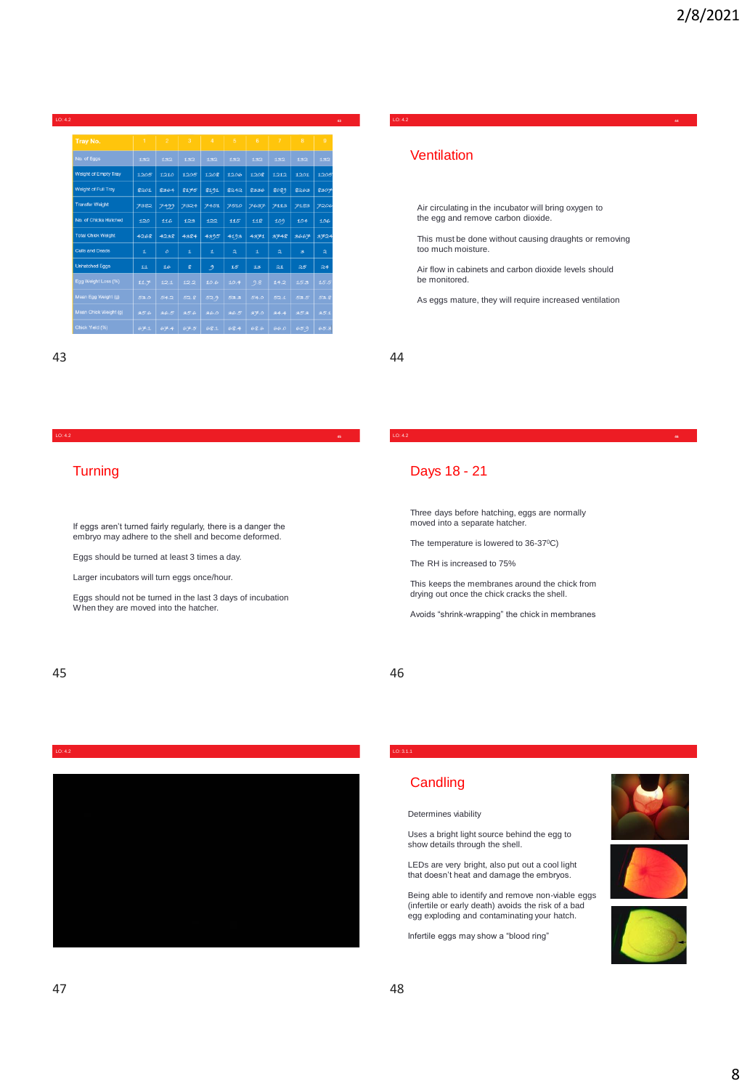| LO: 4.2<br>45             |              |                |                |                |                         |      |                         |                         |                |
|---------------------------|--------------|----------------|----------------|----------------|-------------------------|------|-------------------------|-------------------------|----------------|
| Tray No.                  | $\mathbf{1}$ | $\overline{2}$ | $\overline{3}$ | $\overline{A}$ | -5                      | 6    | $\overline{7}$          | $\mathbf{8}$            | $\overline{9}$ |
|                           |              |                |                |                |                         |      |                         |                         |                |
| No. of Eggs               | 132          | 132            | 132            | 132            | 132                     | 132  | 132                     | 132                     | 132            |
| Weight of Empty Tray      | 1205         | 1210           | 1205           | 1208           | 1206                    | 1208 | 1212                    | 1201                    | 1205           |
| Weight of Full Tray       | 8201         | 8364           | 8175           | 8191           | 8242                    | 8336 | 8089                    | 8263                    | 8307           |
| <b>Transfer Weight</b>    | 7382         | 7499           | 7324           | 7451           | 7510                    | 7637 | 7113                    | 7183                    | 7206           |
| No. of Chicks Hatched     | 120          | 116            | 123            | 122            | 115                     | 118  | 109                     | 104                     | 106            |
| <b>Total Chick Weight</b> | 4268         | 4238           | 4384           | 4395           | 4193                    | 4371 | 3748                    | 3667                    | 3724           |
| <b>Culls and Deads</b>    | £.           | $\circ$        | £.             | 土              | $\overline{\mathbf{z}}$ | 土    | $\overline{\mathbf{z}}$ | $\overline{\mathbf{3}}$ | $\mathbf{z}$   |
| <b>Unhatched Eggs</b>     | 11           | 16             | g              | 9              | 15                      | 13   | 21                      | 25                      | 24             |
| Egg Weight Loss (%)       | 11.7         | 12.1           | 12.2           | 10.6           | 10.4                    | 9.8  | 14.2                    | 15.3                    | 15.5           |
| Mean Egg Weight (g)       | 53.0         | 54.2           | 52.8           | 52.9           | 53.3                    | 54.0 | 52.1                    | 53.5                    | 53.8           |
| Mean Chick Weight (g)     | 35.6         | 36.5           | 35.6           | 36.0           | 36.5                    | 37.0 | 34.4                    | 35.3                    | 35.1           |
| Chick Yield (%)           | 67.1         | 67.4           | 67.5           | 68.1           | 68.4                    | 68.6 | 66.0                    | 65.9                    | 65.3           |

# 43 44

LO: 4.2 **<sup>44</sup>**

# **Ventilation**

Air circulating in the incubator will bring oxygen to the egg and remove carbon dioxide.

This must be done without causing draughts or removing too much moisture.

Air flow in cabinets and carbon dioxide levels should be monitored.

As eggs mature, they will require increased ventilation

LO: 4.2 **<sup>46</sup>**

## LO: 4.2 **<sup>45</sup>**

# **Turning**

If eggs aren't turned fairly regularly, there is a danger the embryo may adhere to the shell and become deformed.

Eggs should be turned at least 3 times a day.

Larger incubators will turn eggs once/hour.

Eggs should not be turned in the last 3 days of incubation When they are moved into the hatcher.

# Days 18 - 21

Three days before hatching, eggs are normally moved into a separate hatcher.

The temperature is lowered to 36-37°C)

The RH is increased to 75%

This keeps the membranes around the chick from drying out once the chick cracks the shell.

Avoids "shrink-wrapping" the chick in membranes

# 45 46



# LO: 3.1.1

# **Candling**

Determines viability

Uses a bright light source behind the egg to show details through the shell.

LEDs are very bright, also put out a cool light that doesn't heat and damage the embryos.

Being able to identify and remove non-viable eggs (infertile or early death) avoids the risk of a bad egg exploding and contaminating your hatch.

Infertile eggs may show a "blood ring"





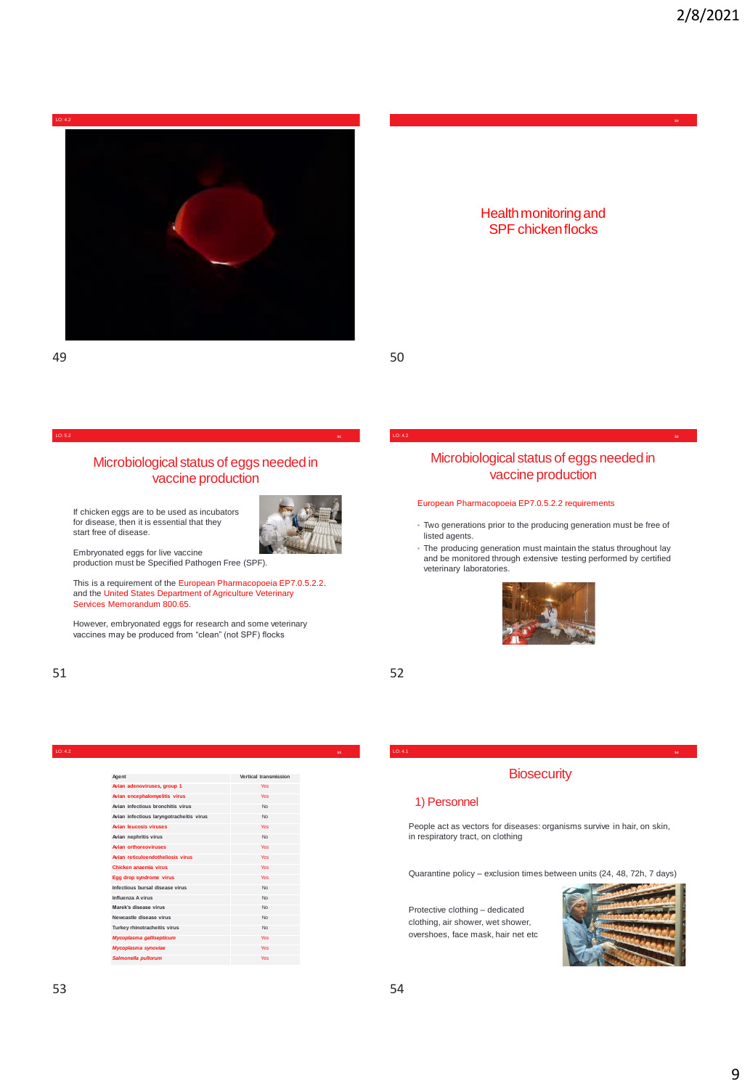

#### LO: 5.2

# Microbiological status of eggs needed in vaccine production

If chicken eggs are to be used as incubators for disease, then it is essential that they start free of disease.



**51**

Embryonated eggs for live vaccine production must be Specified Pathogen Free (SPF).

This is a requirement of the European Pharmacopoeia EP7.0.5.2.2. and the United States Department of Agriculture Veterinary Services Memorandum 800.65.

However, embryonated eggs for research and some veterinary vaccines may be produced from "clean" (not SPF) flocks



## LO: 4.1 **<sup>54</sup>**

# 1) Personnel

People act as vectors for diseases: organisms survive in hair, on skin, in respiratory tract, on clothing

**Biosecurity** 

Quarantine policy – exclusion times between units (24, 48, 72h, 7 days)

Protective clothing – dedicated clothing, air shower, wet shower, overshoes, face mask, hair net etc



# Microbiological status of eggs needed in vaccine production

LO: 4.2 **<sup>52</sup>**

Health monitoring and SPF chicken flocks

#### European Pharmacopoeia EP7.0.5.2.2 requirements

- Two generations prior to the producing generation must be free of listed agents.
- The producing generation must maintain the status throughout lay and be monitored through extensive testing performed by certified veterinary laboratories.

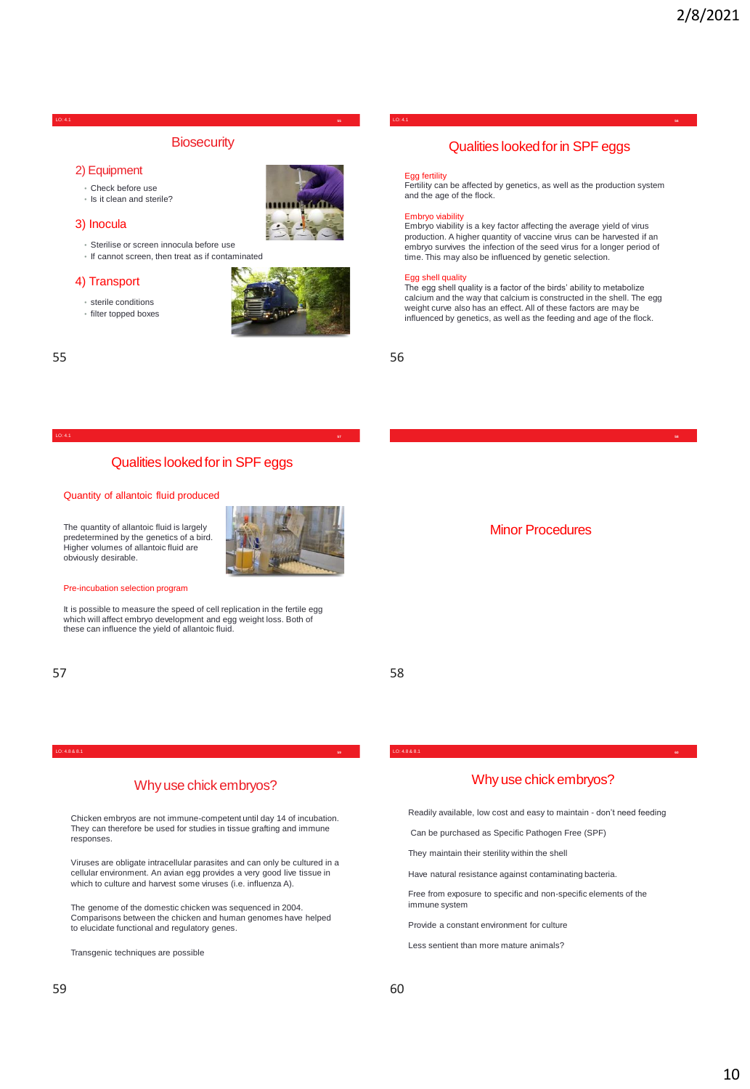# **Biosecurity**

## 2) Equipment

- Check before use
- Is it clean and sterile?

### 3) Inocula

- Sterilise or screen innocula before use
- If cannot screen, then treat as if contaminated

#### 4) Transport

• sterile conditions





# Qualities looked for in SPF eggs

## Quantity of allantoic fluid produced

The quantity of allantoic fluid is largely predetermined by the genetics of a bird. Higher volumes of allantoic fluid are obviously desirable.



It is possible to measure the speed of cell replication in the fertile egg which will affect embryo development and egg weight loss. Both of these can influence the yield of allantoic fluid.

# $57$

LO: 4.8 & 8.1 **<sup>59</sup> <sup>60</sup>**

# Why use chick embryos?

Chicken embryos are not immune-competent until day 14 of incubation. They can therefore be used for studies in tissue grafting and immune responses.

Viruses are obligate intracellular parasites and can only be cultured in a cellular environment. An avian egg provides a very good live tissue in which to culture and harvest some viruses (i.e. influenza A).

The genome of the domestic chicken was sequenced in 2004. Comparisons between the chicken and human genomes have helped to elucidate functional and regulatory genes.

Transgenic techniques are possible

# They maintain their sterility within the shell

LO: 4.8 & 8.1

Have natural resistance against contaminating bacteria.

Can be purchased as Specific Pathogen Free (SPF)

Free from exposure to specific and non-specific elements of the immune system

Readily available, low cost and easy to maintain - don't need feeding

Why use chick embryos?

Provide a constant environment for culture

Less sentient than more mature animals?

#### LO: 4.1 **<sup>55</sup> <sup>56</sup>** LO: 4.1

# Qualities looked for in SPF eggs

#### Egg fertility

Fertility can be affected by genetics, as well as the production system and the age of the flock.

#### Embryo viability

Embryo viability is a key factor affecting the average yield of virus production. A higher quantity of vaccine virus can be harvested if an embryo survives the infection of the seed virus for a longer period of time. This may also be influenced by genetic selection.

#### Egg shell quality

The egg shell quality is a factor of the birds' ability to metabolize calcium and the way that calcium is constructed in the shell. The egg weight curve also has an effect. All of these factors are may be influenced by genetics, as well as the feeding and age of the flock.

55 56

LO: 4.1 **<sup>58</sup>**

Minor Procedures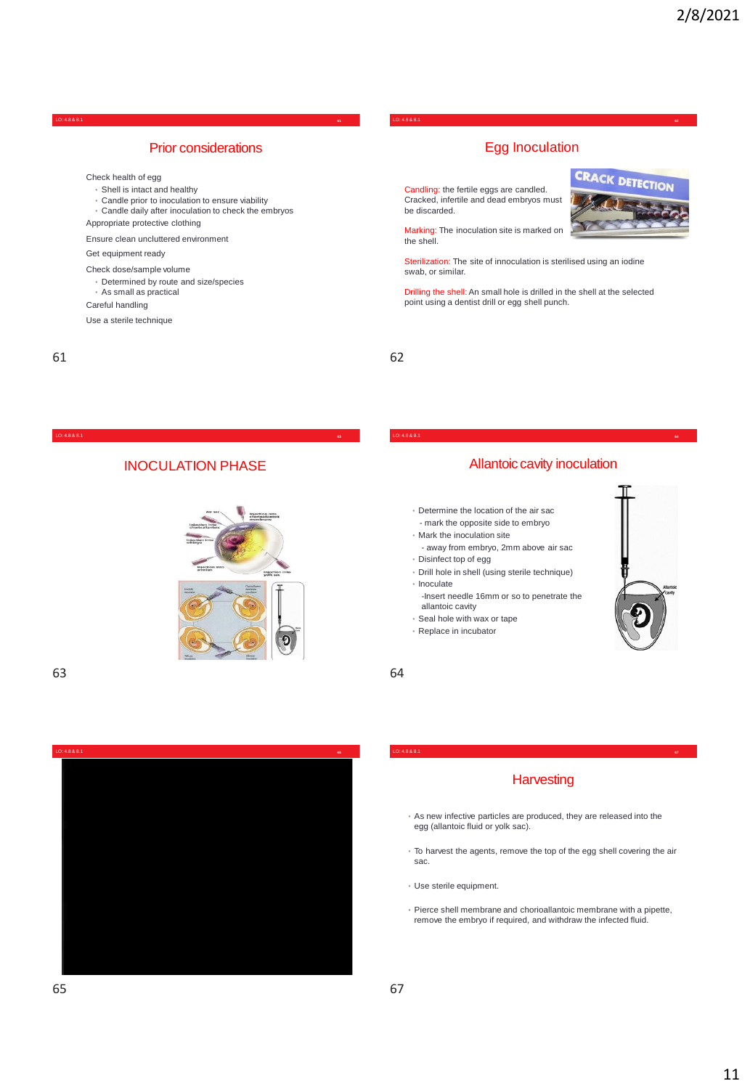# Prior considerations

Check health of egg

- Shell is intact and healthy
- Candle prior to inoculation to ensure viability • Candle daily after inoculation to check the embryos
- Appropriate protective clothing

Ensure clean uncluttered environment

Get equipment ready

- Check dose/sample volume
- Determined by route and size/species
- As small as practical
- Careful handling

Use a sterile technique

LO: 4.8 & 8.1 **<sup>61</sup> <sup>62</sup>** LO: 4.8 & 8.1

# Egg Inoculation

**CRACK DETECTION** 

Candling: the fertile eggs are candled. Cracked, infertile and dead embryos must be discarded.

Marking: The inoculation site is marked on the shell.

Sterilization: The site of innoculation is sterilised using an iodine swab, or similar.

Drilling the shell: An small hole is drilled in the shell at the selected point using a dentist drill or egg shell punch.

**63**

LO: 4.8 & 8.1

# INOCULATION PHASE





# Allantoic cavity inoculation

LO: 4.8 & 8.1 **<sup>64</sup>**

- Determine the location of the air sac - mark the opposite side to embryo
- Mark the inoculation site
- away from embryo, 2mm above air sac
- Disinfect top of egg
- Drill hole in shell (using sterile technique) • Inoculate
	- -Insert needle 16mm or so to penetrate the allantoic cavity
- Seal hole with wax or tape
- Replace in incubator



#### LO: 4.8 & 8.1 **<sup>67</sup>**

# **Harvesting**

- As new infective particles are produced, they are released into the egg (allantoic fluid or yolk sac).
- To harvest the agents, remove the top of the egg shell covering the air sac.
- Use sterile equipment.
- Pierce shell membrane and chorioallantoic membrane with a pipette, remove the embryo if required, and withdraw the infected fluid.